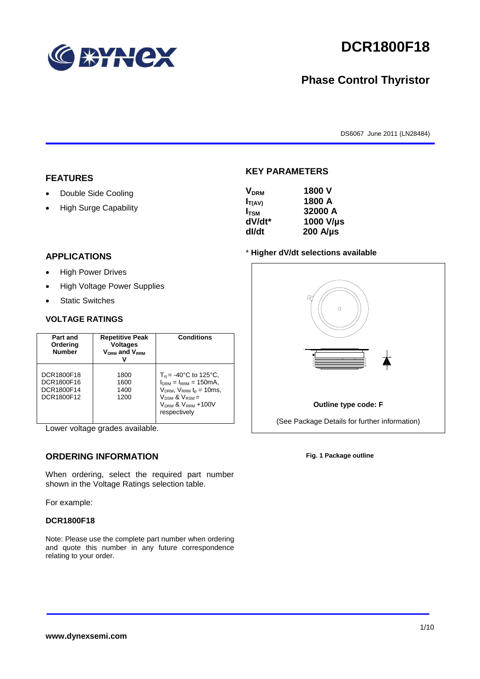

# **DCR1800F18**

# **Phase Control Thyristor**

DS6067 June 2011 (LN28484)

#### **FEATURES**

- Double Side Cooling
- High Surge Capability

#### **APPLICATIONS**

- High Power Drives
- High Voltage Power Supplies
- Static Switches

#### **VOLTAGE RATINGS**

| Part and<br>Ordering<br><b>Number</b>                | <b>Repetitive Peak</b><br><b>Voltages</b><br>$V_{DRM}$ and $V_{RRM}$ | <b>Conditions</b>                                                                                                                                                               |
|------------------------------------------------------|----------------------------------------------------------------------|---------------------------------------------------------------------------------------------------------------------------------------------------------------------------------|
| DCR1800F18<br>DCR1800F16<br>DCR1800F14<br>DCR1800F12 | 1800<br>1600<br>1400<br>1200                                         | $T_{vi}$ = -40°C to 125°C,<br>$I_{DRM} = I_{RRM} = 150 \text{mA}$<br>$V_{DRM}$ , $V_{RRM}$ $t_{p}$ = 10ms,<br>$V_{DSM}$ & $V_{RSM}$ =<br>$VDRM$ & $VRRM + 100V$<br>respectively |

Lower voltage grades available.

### **ORDERING INFORMATION**

When ordering, select the required part number shown in the Voltage Ratings selection table.

For example:

#### **DCR1800F18**

Note: Please use the complete part number when ordering and quote this number in any future correspondence relating to your order.



**KEY PARAMETERS**

**VDRM 1800 V**  $I_{T(AV)}$  **1800 A** 



#### **Outline type code: F**

(See Package Details for further information)

**Fig. 1 Package outline**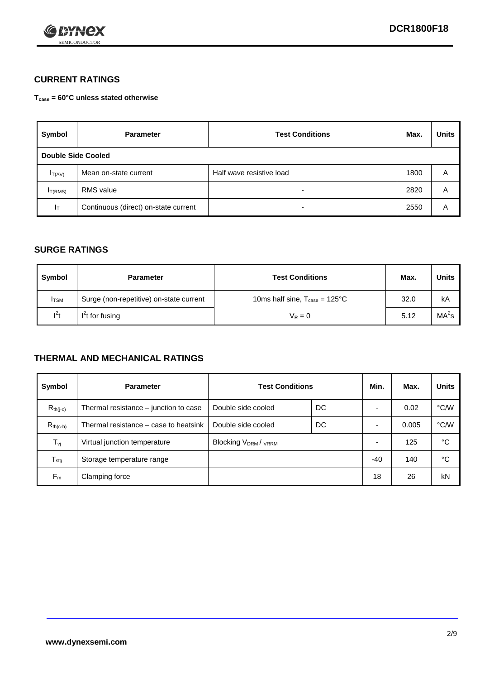

### **CURRENT RATINGS**

**Tcase = 60°C unless stated otherwise**

| Symbol             | <b>Parameter</b>                     | <b>Test Conditions</b>   | Max. | <b>Units</b> |
|--------------------|--------------------------------------|--------------------------|------|--------------|
| Double Side Cooled |                                      |                          |      |              |
| $I_{T(AV)}$        | Mean on-state current                | Half wave resistive load | 1800 | A            |
| $I_{T(RMS)}$       | RMS value                            | $\overline{\phantom{a}}$ | 2820 | Α            |
| Iт                 | Continuous (direct) on-state current | $\overline{\phantom{a}}$ | 2550 | Α            |

#### **SURGE RATINGS**

| Symbol       | <b>Parameter</b>                        | <b>Test Conditions</b>                           | Max. | <b>Units</b>      |
|--------------|-----------------------------------------|--------------------------------------------------|------|-------------------|
| <b>I</b> TSM | Surge (non-repetitive) on-state current | 10ms half sine, $T_{\text{case}} = 125^{\circ}C$ | 32.0 | kA                |
| $l^2t$       | I <sup>2</sup> t for fusing             | $V_R = 0$                                        | 5.12 | MA <sup>2</sup> s |

#### **THERMAL AND MECHANICAL RATINGS**

| Symbol           | <b>Parameter</b>                      | <b>Test Conditions</b>                      |    | Min.  | Max.  | <b>Units</b> |
|------------------|---------------------------------------|---------------------------------------------|----|-------|-------|--------------|
| $R_{th(j-c)}$    | Thermal resistance – junction to case | Double side cooled                          | DC |       | 0.02  | °C/W         |
| $R_{th(c-h)}$    | Thermal resistance – case to heatsink | Double side cooled                          | DC |       | 0.005 | °C/W         |
| $T_{\nu j}$      | Virtual junction temperature          | Blocking V <sub>DRM</sub> / <sub>VRRM</sub> |    |       | 125   | °C           |
| $T_{\text{stg}}$ | Storage temperature range             |                                             |    | $-40$ | 140   | °C           |
| $F_m$            | Clamping force                        |                                             |    | 18    | 26    | kN           |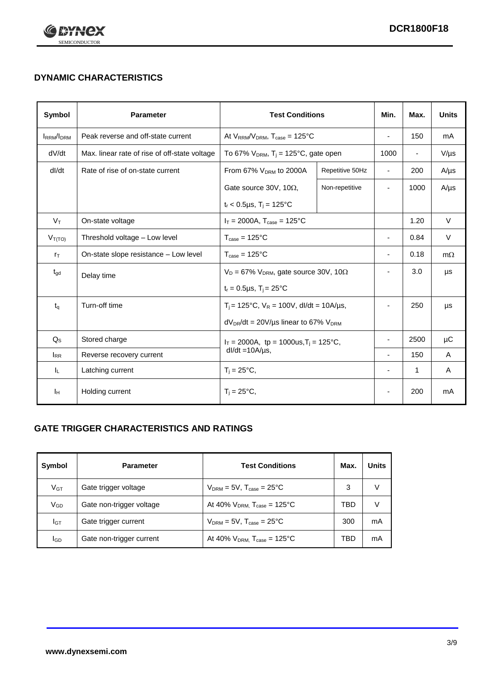

# **DYNAMIC CHARACTERISTICS**

| <b>Symbol</b>     | <b>Parameter</b>                                                          | <b>Test Conditions</b>                                       |                          | Min.                     | Max.                     | <b>Units</b> |
|-------------------|---------------------------------------------------------------------------|--------------------------------------------------------------|--------------------------|--------------------------|--------------------------|--------------|
| <b>IRRM</b> /IDRM | Peak reverse and off-state current                                        | At $V_{RRM}/V_{DRM}$ , $T_{case} = 125^{\circ}C$             |                          | $\blacksquare$           | 150                      | mA           |
| dV/dt             | Max. linear rate of rise of off-state voltage                             | To 67% $V_{DRM}$ , T <sub>i</sub> = 125°C, gate open         |                          | 1000                     | $\overline{\phantom{a}}$ | $V/\mu s$    |
| dl/dt             | Rate of rise of on-state current                                          | From 67% $V_{DRM}$ to 2000A                                  | Repetitive 50Hz          | $\blacksquare$           | 200                      | $A/\mu s$    |
|                   |                                                                           | Gate source 30V, 10 $\Omega$ ,                               | Non-repetitive           | $\blacksquare$           | 1000                     | $A/\mu s$    |
|                   |                                                                           | $t_r$ < 0.5µs, $T_i$ = 125°C                                 |                          |                          |                          |              |
| $V_T$             | On-state voltage                                                          | $I_T = 2000A$ , $T_{case} = 125^{\circ}C$                    |                          |                          | 1.20                     | $\vee$       |
| $V_{T(TO)}$       | Threshold voltage - Low level                                             | $T_{\text{case}} = 125^{\circ}C$                             |                          | ٠                        | 0.84                     | $\vee$       |
| $r_{\text{T}}$    | On-state slope resistance - Low level<br>$T_{\text{case}} = 125^{\circ}C$ |                                                              | $\overline{\phantom{a}}$ | 0.18                     | $m\Omega$                |              |
| $t_{\rm gd}$      | Delay time                                                                | $V_D = 67\%$ V <sub>DRM</sub> , gate source 30V, 10 $\Omega$ |                          | ٠                        | 3.0                      | μs           |
|                   |                                                                           | $t_r = 0.5 \mu s$ , T <sub>i</sub> = 25°C                    |                          |                          |                          |              |
| $t_{q}$           | Turn-off time                                                             | $T_i$ = 125°C, $V_R$ = 100V, dl/dt = 10A/us,                 |                          | $\overline{\phantom{a}}$ | 250                      | μs           |
|                   |                                                                           | $dV_{DR}/dt = 20V/\mu s$ linear to 67% $V_{DRM}$             |                          |                          |                          |              |
| $Q_{\rm S}$       | Stored charge                                                             | $I_T = 2000A$ , tp = 1000us, $T_i = 125$ °C,                 |                          |                          | 2500                     | μC           |
| $I_{RR}$          | Reverse recovery current                                                  | $dl/dt = 10A/\mu s$ ,                                        |                          | ä,                       | 150                      | A            |
| ΙL.               | Latching current                                                          | $T_i = 25^{\circ}C$ ,                                        |                          | ٠                        | 1                        | A            |
| Iн                | Holding current                                                           | $T_i = 25^{\circ}C,$                                         |                          |                          | 200                      | mA           |

### **GATE TRIGGER CHARACTERISTICS AND RATINGS**

| Symbol          | <b>Parameter</b>         | <b>Test Conditions</b>                | Max. | Units |
|-----------------|--------------------------|---------------------------------------|------|-------|
| V <sub>GT</sub> | Gate trigger voltage     | $V_{DRM}$ = 5V, $T_{case}$ = 25°C     | 3    | V     |
| $V_{GD}$        | Gate non-trigger voltage | At 40% $V_{DRM}$ , $T_{case}$ = 125°C | TBD  | V     |
| Iст             | Gate trigger current     | $V_{DRM}$ = 5V, $T_{case}$ = 25°C     | 300  | mA    |
| <b>I</b> GD     | Gate non-trigger current | At 40% $V_{DRM}$ , $T_{case}$ = 125°C | TBD  | mA    |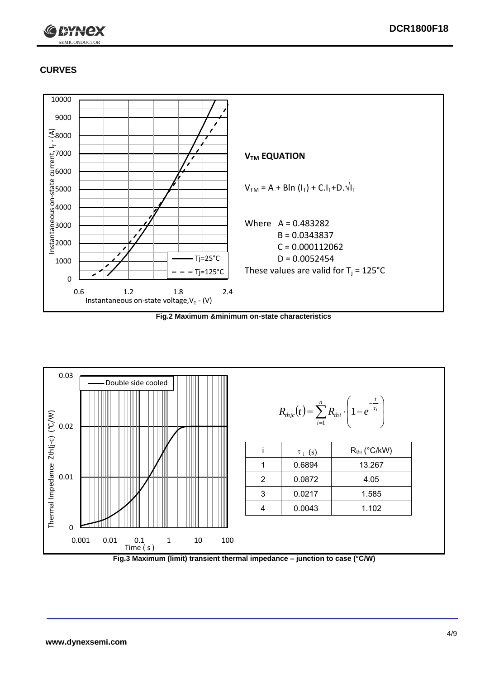

# **CURVES**



**Fig.2 Maximum &minimum on-state characteristics**



**Fig.3 Maximum (limit) transient thermal impedance – junction to case (°C/W)**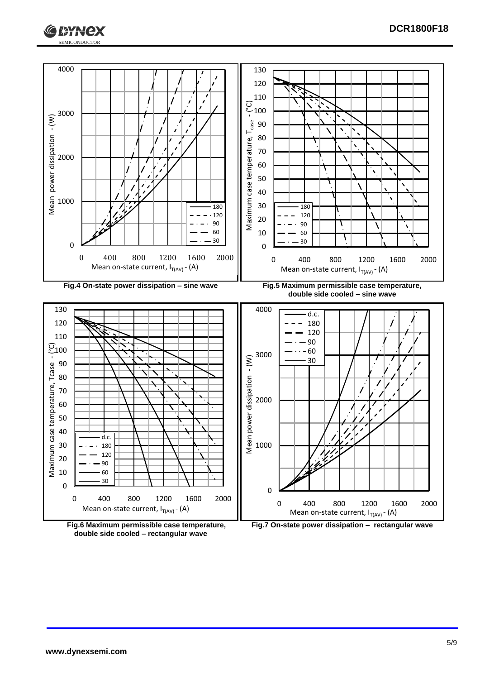





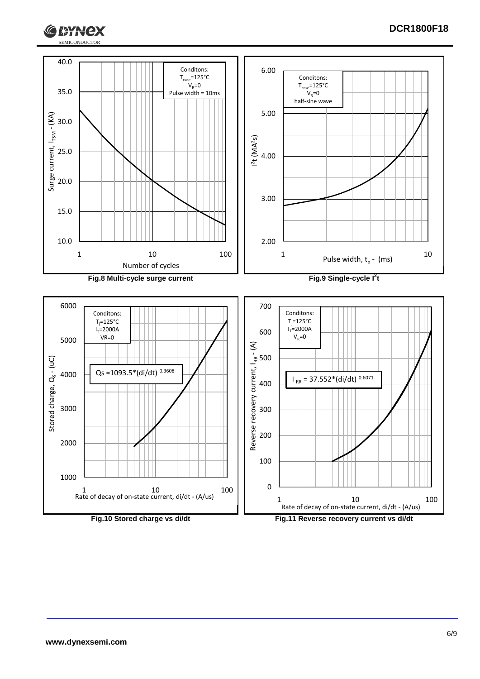



**Т\*ЯНСХ**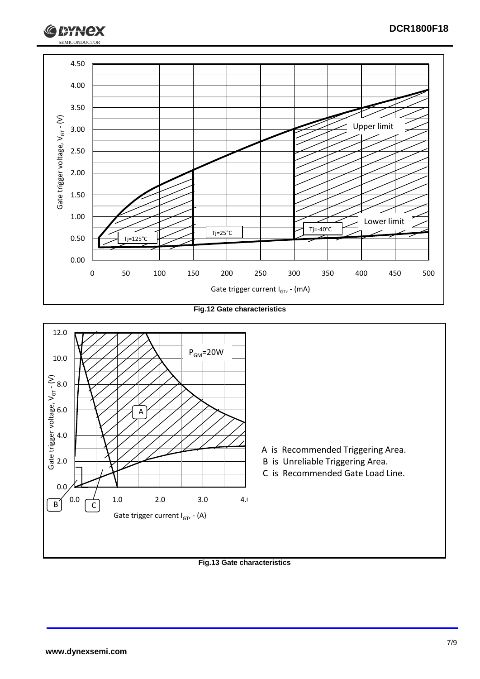

**Fig.12 Gate characteristics**



**Fig.13 Gate characteristics**

SEMICONDUCTOR

**RYH**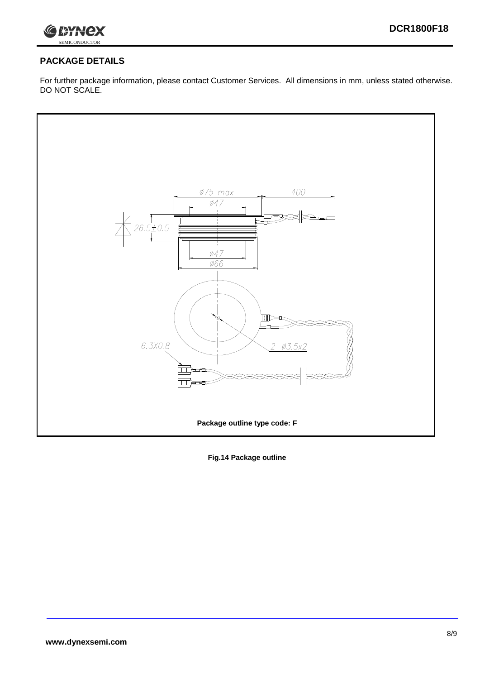

# **PACKAGE DETAILS**

For further package information, please contact Customer Services. All dimensions in mm, unless stated otherwise. DO NOT SCALE.



**Fig.14 Package outline**